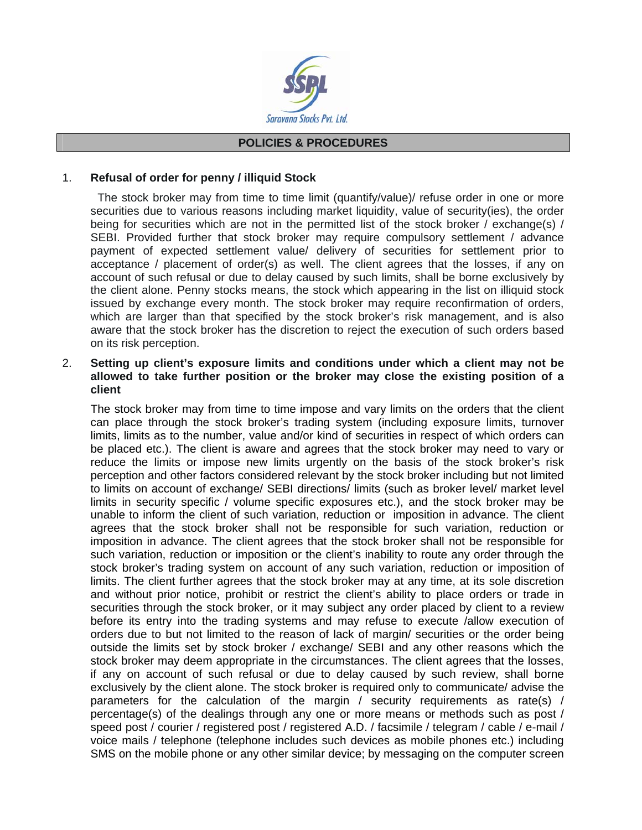

#### **POLICIES & PROCEDURES**

## 1. **Refusal of order for penny / illiquid Stock**

 The stock broker may from time to time limit (quantify/value)/ refuse order in one or more securities due to various reasons including market liquidity, value of security(ies), the order being for securities which are not in the permitted list of the stock broker / exchange(s) / SEBI. Provided further that stock broker may require compulsory settlement / advance payment of expected settlement value/ delivery of securities for settlement prior to acceptance / placement of order(s) as well. The client agrees that the losses, if any on account of such refusal or due to delay caused by such limits, shall be borne exclusively by the client alone. Penny stocks means, the stock which appearing in the list on illiquid stock issued by exchange every month. The stock broker may require reconfirmation of orders, which are larger than that specified by the stock broker's risk management, and is also aware that the stock broker has the discretion to reject the execution of such orders based on its risk perception.

## 2. **Setting up client's exposure limits and conditions under which a client may not be allowed to take further position or the broker may close the existing position of a client**

 The stock broker may from time to time impose and vary limits on the orders that the client can place through the stock broker's trading system (including exposure limits, turnover limits, limits as to the number, value and/or kind of securities in respect of which orders can be placed etc.). The client is aware and agrees that the stock broker may need to vary or reduce the limits or impose new limits urgently on the basis of the stock broker's risk perception and other factors considered relevant by the stock broker including but not limited to limits on account of exchange/ SEBI directions/ limits (such as broker level/ market level limits in security specific / volume specific exposures etc.), and the stock broker may be unable to inform the client of such variation, reduction or imposition in advance. The client agrees that the stock broker shall not be responsible for such variation, reduction or imposition in advance. The client agrees that the stock broker shall not be responsible for such variation, reduction or imposition or the client's inability to route any order through the stock broker's trading system on account of any such variation, reduction or imposition of limits. The client further agrees that the stock broker may at any time, at its sole discretion and without prior notice, prohibit or restrict the client's ability to place orders or trade in securities through the stock broker, or it may subject any order placed by client to a review before its entry into the trading systems and may refuse to execute /allow execution of orders due to but not limited to the reason of lack of margin/ securities or the order being outside the limits set by stock broker / exchange/ SEBI and any other reasons which the stock broker may deem appropriate in the circumstances. The client agrees that the losses, if any on account of such refusal or due to delay caused by such review, shall borne exclusively by the client alone. The stock broker is required only to communicate/ advise the parameters for the calculation of the margin / security requirements as rate(s) / percentage(s) of the dealings through any one or more means or methods such as post / speed post / courier / registered post / registered A.D. / facsimile / telegram / cable / e-mail / voice mails / telephone (telephone includes such devices as mobile phones etc.) including SMS on the mobile phone or any other similar device; by messaging on the computer screen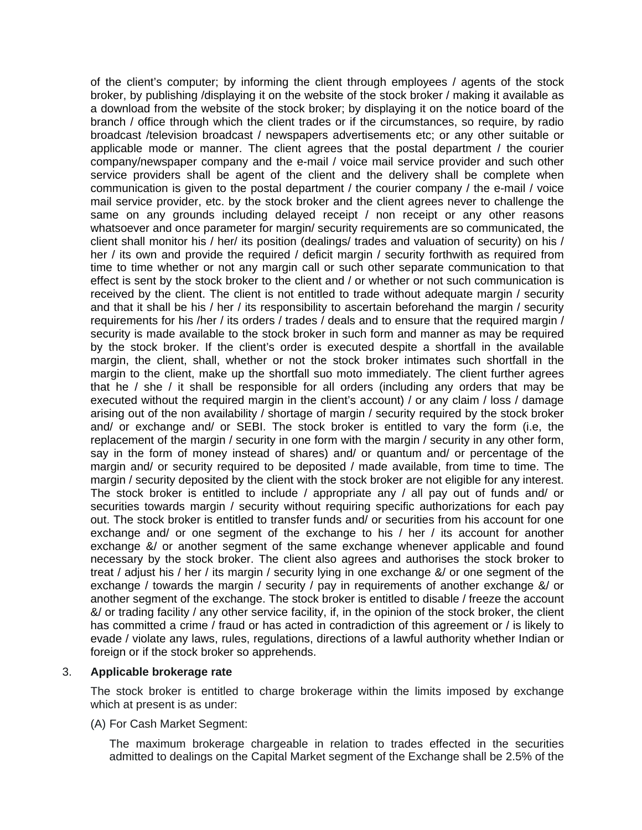of the client's computer; by informing the client through employees / agents of the stock broker, by publishing /displaying it on the website of the stock broker / making it available as a download from the website of the stock broker; by displaying it on the notice board of the branch / office through which the client trades or if the circumstances, so require, by radio broadcast /television broadcast / newspapers advertisements etc; or any other suitable or applicable mode or manner. The client agrees that the postal department / the courier company/newspaper company and the e-mail / voice mail service provider and such other service providers shall be agent of the client and the delivery shall be complete when communication is given to the postal department / the courier company / the e-mail / voice mail service provider, etc. by the stock broker and the client agrees never to challenge the same on any grounds including delayed receipt / non receipt or any other reasons whatsoever and once parameter for margin/ security requirements are so communicated, the client shall monitor his / her/ its position (dealings/ trades and valuation of security) on his / her / its own and provide the required / deficit margin / security forthwith as required from time to time whether or not any margin call or such other separate communication to that effect is sent by the stock broker to the client and / or whether or not such communication is received by the client. The client is not entitled to trade without adequate margin / security and that it shall be his / her / its responsibility to ascertain beforehand the margin / security requirements for his /her / its orders / trades / deals and to ensure that the required margin / security is made available to the stock broker in such form and manner as may be required by the stock broker. If the client's order is executed despite a shortfall in the available margin, the client, shall, whether or not the stock broker intimates such shortfall in the margin to the client, make up the shortfall suo moto immediately. The client further agrees that he / she / it shall be responsible for all orders (including any orders that may be executed without the required margin in the client's account) / or any claim / loss / damage arising out of the non availability / shortage of margin / security required by the stock broker and/ or exchange and/ or SEBI. The stock broker is entitled to vary the form (i.e, the replacement of the margin / security in one form with the margin / security in any other form, say in the form of money instead of shares) and/ or quantum and/ or percentage of the margin and/ or security required to be deposited / made available, from time to time. The margin / security deposited by the client with the stock broker are not eligible for any interest. The stock broker is entitled to include / appropriate any / all pay out of funds and/ or securities towards margin / security without requiring specific authorizations for each pay out. The stock broker is entitled to transfer funds and/ or securities from his account for one exchange and/ or one segment of the exchange to his / her / its account for another exchange &/ or another segment of the same exchange whenever applicable and found necessary by the stock broker. The client also agrees and authorises the stock broker to treat / adjust his / her / its margin / security lying in one exchange &/ or one segment of the exchange / towards the margin / security / pay in requirements of another exchange &/ or another segment of the exchange. The stock broker is entitled to disable / freeze the account &/ or trading facility / any other service facility, if, in the opinion of the stock broker, the client has committed a crime / fraud or has acted in contradiction of this agreement or / is likely to evade / violate any laws, rules, regulations, directions of a lawful authority whether Indian or foreign or if the stock broker so apprehends.

### 3. **Applicable brokerage rate**

 The stock broker is entitled to charge brokerage within the limits imposed by exchange which at present is as under:

#### (A) For Cash Market Segment:

 The maximum brokerage chargeable in relation to trades effected in the securities admitted to dealings on the Capital Market segment of the Exchange shall be 2.5% of the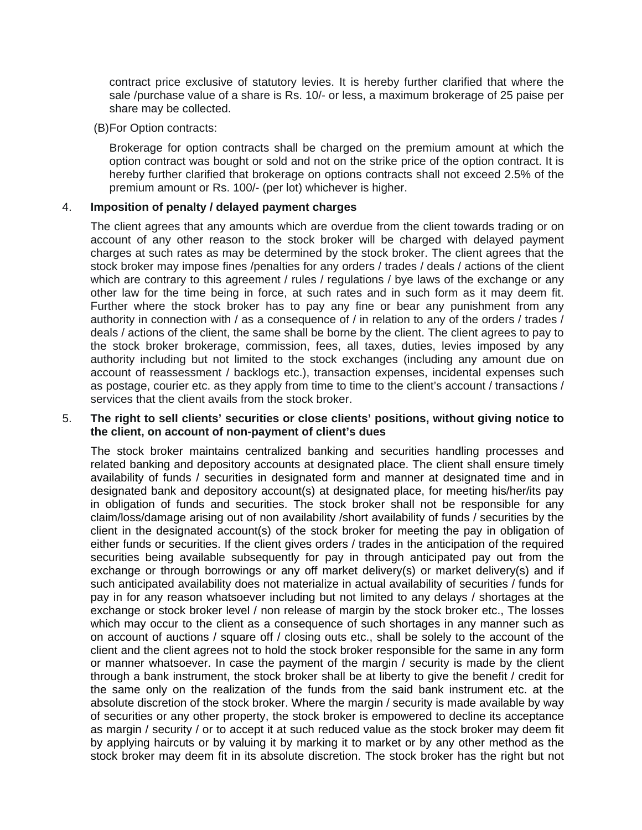contract price exclusive of statutory levies. It is hereby further clarified that where the sale /purchase value of a share is Rs. 10/- or less, a maximum brokerage of 25 paise per share may be collected.

#### (B) For Option contracts:

 Brokerage for option contracts shall be charged on the premium amount at which the option contract was bought or sold and not on the strike price of the option contract. It is hereby further clarified that brokerage on options contracts shall not exceed 2.5% of the premium amount or Rs. 100/- (per lot) whichever is higher.

### 4. **Imposition of penalty / delayed payment charges**

 The client agrees that any amounts which are overdue from the client towards trading or on account of any other reason to the stock broker will be charged with delayed payment charges at such rates as may be determined by the stock broker. The client agrees that the stock broker may impose fines /penalties for any orders / trades / deals / actions of the client which are contrary to this agreement / rules / regulations / bye laws of the exchange or any other law for the time being in force, at such rates and in such form as it may deem fit. Further where the stock broker has to pay any fine or bear any punishment from any authority in connection with / as a consequence of / in relation to any of the orders / trades / deals / actions of the client, the same shall be borne by the client. The client agrees to pay to the stock broker brokerage, commission, fees, all taxes, duties, levies imposed by any authority including but not limited to the stock exchanges (including any amount due on account of reassessment / backlogs etc.), transaction expenses, incidental expenses such as postage, courier etc. as they apply from time to time to the client's account / transactions / services that the client avails from the stock broker.

### 5. **The right to sell clients' securities or close clients' positions, without giving notice to the client, on account of non-payment of client's dues**

 The stock broker maintains centralized banking and securities handling processes and related banking and depository accounts at designated place. The client shall ensure timely availability of funds / securities in designated form and manner at designated time and in designated bank and depository account(s) at designated place, for meeting his/her/its pay in obligation of funds and securities. The stock broker shall not be responsible for any claim/loss/damage arising out of non availability /short availability of funds / securities by the client in the designated account(s) of the stock broker for meeting the pay in obligation of either funds or securities. If the client gives orders / trades in the anticipation of the required securities being available subsequently for pay in through anticipated pay out from the exchange or through borrowings or any off market delivery(s) or market delivery(s) and if such anticipated availability does not materialize in actual availability of securities / funds for pay in for any reason whatsoever including but not limited to any delays / shortages at the exchange or stock broker level / non release of margin by the stock broker etc., The losses which may occur to the client as a consequence of such shortages in any manner such as on account of auctions / square off / closing outs etc., shall be solely to the account of the client and the client agrees not to hold the stock broker responsible for the same in any form or manner whatsoever. In case the payment of the margin / security is made by the client through a bank instrument, the stock broker shall be at liberty to give the benefit / credit for the same only on the realization of the funds from the said bank instrument etc. at the absolute discretion of the stock broker. Where the margin / security is made available by way of securities or any other property, the stock broker is empowered to decline its acceptance as margin / security / or to accept it at such reduced value as the stock broker may deem fit by applying haircuts or by valuing it by marking it to market or by any other method as the stock broker may deem fit in its absolute discretion. The stock broker has the right but not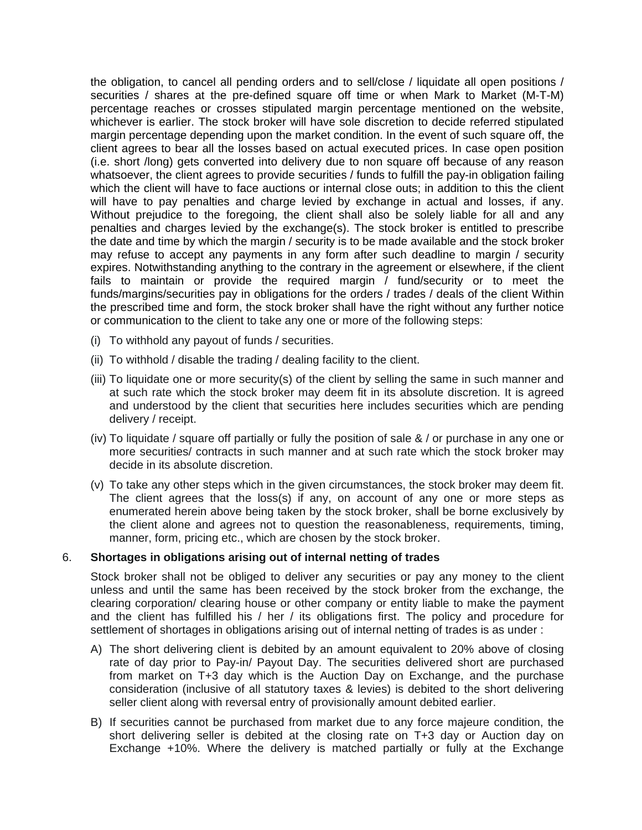the obligation, to cancel all pending orders and to sell/close / liquidate all open positions / securities / shares at the pre-defined square off time or when Mark to Market (M-T-M) percentage reaches or crosses stipulated margin percentage mentioned on the website, whichever is earlier. The stock broker will have sole discretion to decide referred stipulated margin percentage depending upon the market condition. In the event of such square off, the client agrees to bear all the losses based on actual executed prices. In case open position (i.e. short /long) gets converted into delivery due to non square off because of any reason whatsoever, the client agrees to provide securities / funds to fulfill the pay-in obligation failing which the client will have to face auctions or internal close outs; in addition to this the client will have to pay penalties and charge levied by exchange in actual and losses, if any. Without prejudice to the foregoing, the client shall also be solely liable for all and any penalties and charges levied by the exchange(s). The stock broker is entitled to prescribe the date and time by which the margin / security is to be made available and the stock broker may refuse to accept any payments in any form after such deadline to margin / security expires. Notwithstanding anything to the contrary in the agreement or elsewhere, if the client fails to maintain or provide the required margin / fund/security or to meet the funds/margins/securities pay in obligations for the orders / trades / deals of the client Within the prescribed time and form, the stock broker shall have the right without any further notice or communication to the client to take any one or more of the following steps:

- (i) To withhold any payout of funds / securities.
- (ii) To withhold / disable the trading / dealing facility to the client.
- (iii) To liquidate one or more security(s) of the client by selling the same in such manner and at such rate which the stock broker may deem fit in its absolute discretion. It is agreed and understood by the client that securities here includes securities which are pending delivery / receipt.
- (iv) To liquidate / square off partially or fully the position of sale & / or purchase in any one or more securities/ contracts in such manner and at such rate which the stock broker may decide in its absolute discretion.
- (v) To take any other steps which in the given circumstances, the stock broker may deem fit. The client agrees that the loss(s) if any, on account of any one or more steps as enumerated herein above being taken by the stock broker, shall be borne exclusively by the client alone and agrees not to question the reasonableness, requirements, timing, manner, form, pricing etc., which are chosen by the stock broker.

#### 6. **Shortages in obligations arising out of internal netting of trades**

 Stock broker shall not be obliged to deliver any securities or pay any money to the client unless and until the same has been received by the stock broker from the exchange, the clearing corporation/ clearing house or other company or entity liable to make the payment and the client has fulfilled his / her / its obligations first. The policy and procedure for settlement of shortages in obligations arising out of internal netting of trades is as under :

- A) The short delivering client is debited by an amount equivalent to 20% above of closing rate of day prior to Pay-in/ Payout Day. The securities delivered short are purchased from market on T+3 day which is the Auction Day on Exchange, and the purchase consideration (inclusive of all statutory taxes & levies) is debited to the short delivering seller client along with reversal entry of provisionally amount debited earlier.
- B) If securities cannot be purchased from market due to any force majeure condition, the short delivering seller is debited at the closing rate on T+3 day or Auction day on Exchange +10%. Where the delivery is matched partially or fully at the Exchange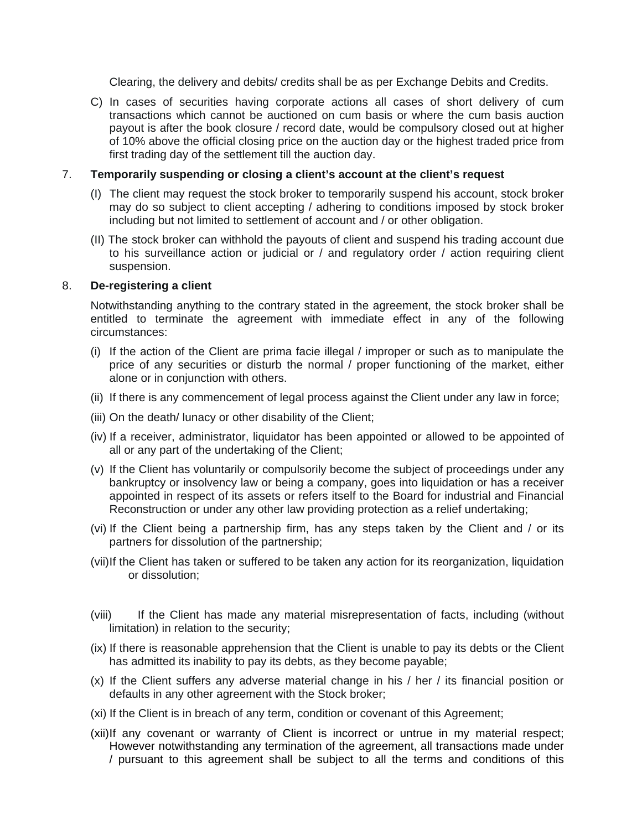Clearing, the delivery and debits/ credits shall be as per Exchange Debits and Credits.

C) In cases of securities having corporate actions all cases of short delivery of cum transactions which cannot be auctioned on cum basis or where the cum basis auction payout is after the book closure / record date, would be compulsory closed out at higher of 10% above the official closing price on the auction day or the highest traded price from first trading day of the settlement till the auction day.

# 7. **Temporarily suspending or closing a client's account at the client's request**

- (I) The client may request the stock broker to temporarily suspend his account, stock broker may do so subject to client accepting / adhering to conditions imposed by stock broker including but not limited to settlement of account and / or other obligation.
- (II) The stock broker can withhold the payouts of client and suspend his trading account due to his surveillance action or judicial or / and regulatory order / action requiring client suspension.

# 8. **De-registering a client**

 Notwithstanding anything to the contrary stated in the agreement, the stock broker shall be entitled to terminate the agreement with immediate effect in any of the following circumstances:

- (i) If the action of the Client are prima facie illegal / improper or such as to manipulate the price of any securities or disturb the normal / proper functioning of the market, either alone or in conjunction with others.
- (ii) If there is any commencement of legal process against the Client under any law in force;
- (iii) On the death/ lunacy or other disability of the Client;
- (iv) If a receiver, administrator, liquidator has been appointed or allowed to be appointed of all or any part of the undertaking of the Client;
- (v) If the Client has voluntarily or compulsorily become the subject of proceedings under any bankruptcy or insolvency law or being a company, goes into liquidation or has a receiver appointed in respect of its assets or refers itself to the Board for industrial and Financial Reconstruction or under any other law providing protection as a relief undertaking;
- (vi) If the Client being a partnership firm, has any steps taken by the Client and / or its partners for dissolution of the partnership;
- (vii) If the Client has taken or suffered to be taken any action for its reorganization, liquidation or dissolution;
- (viii) If the Client has made any material misrepresentation of facts, including (without limitation) in relation to the security;
- (ix) If there is reasonable apprehension that the Client is unable to pay its debts or the Client has admitted its inability to pay its debts, as they become payable;
- (x) If the Client suffers any adverse material change in his / her / its financial position or defaults in any other agreement with the Stock broker;
- (xi) If the Client is in breach of any term, condition or covenant of this Agreement;
- (xii) If any covenant or warranty of Client is incorrect or untrue in my material respect; However notwithstanding any termination of the agreement, all transactions made under / pursuant to this agreement shall be subject to all the terms and conditions of this